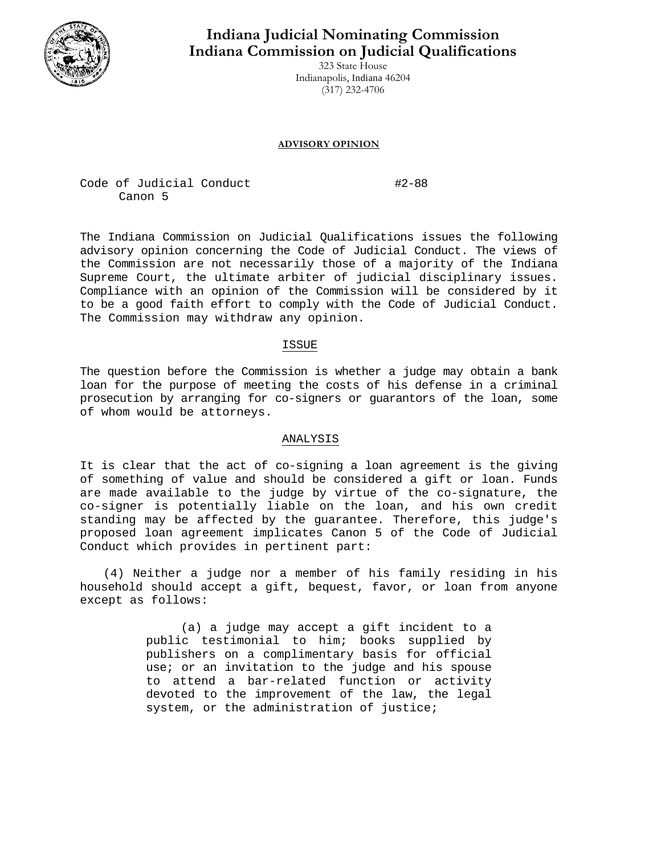

# **Indiana Judicial Nominating Commission Indiana Commission on Judicial Qualifications**

323 State House Indianapolis, Indiana 46204 (317) 232-4706

#### **ADVISORY OPINION**

Code of Judicial Conduct #2-88 Canon 5

The Indiana Commission on Judicial Qualifications issues the following advisory opinion concerning the Code of Judicial Conduct. The views of the Commission are not necessarily those of a majority of the Indiana Supreme Court, the ultimate arbiter of judicial disciplinary issues. Compliance with an opinion of the Commission will be considered by it to be a good faith effort to comply with the Code of Judicial Conduct. The Commission may withdraw any opinion.

### ISSUE

The question before the Commission is whether a judge may obtain a bank loan for the purpose of meeting the costs of his defense in a criminal prosecution by arranging for co-signers or guarantors of the loan, some of whom would be attorneys.

## ANALYSIS

It is clear that the act of co-signing a loan agreement is the giving of something of value and should be considered a gift or loan. Funds are made available to the judge by virtue of the co-signature, the co-signer is potentially liable on the loan, and his own credit standing may be affected by the guarantee. Therefore, this judge's proposed loan agreement implicates Canon 5 of the Code of Judicial Conduct which provides in pertinent part:

(4) Neither a judge nor a member of his family residing in his household should accept a gift, bequest, favor, or loan from anyone except as follows:

> (a) a judge may accept a gift incident to a public testimonial to him; books supplied by publishers on a complimentary basis for official use; or an invitation to the judge and his spouse to attend a bar-related function or activity devoted to the improvement of the law, the legal system, or the administration of justice;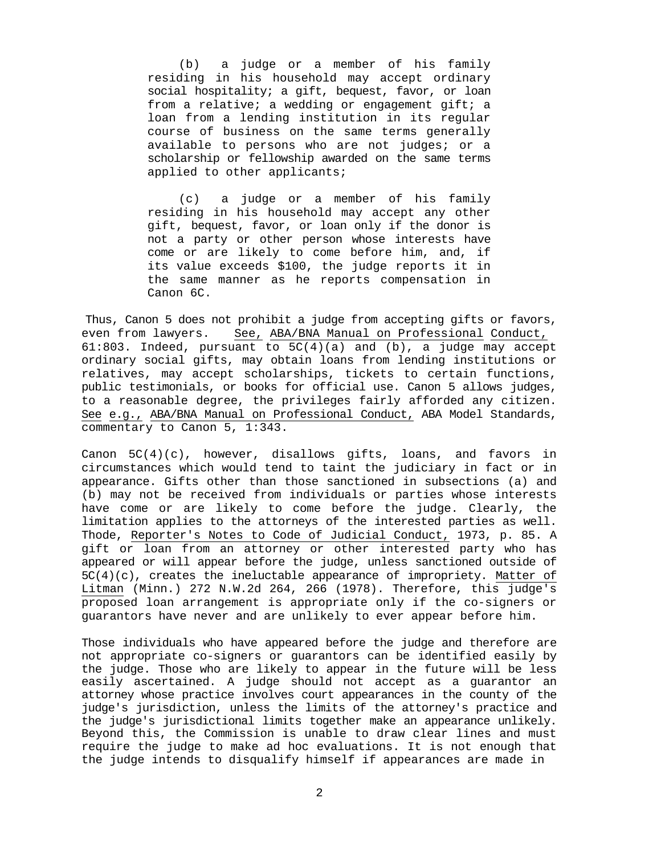(b) a judge or a member of his family residing in his household may accept ordinary social hospitality; a gift, bequest, favor, or loan from a relative; a wedding or engagement gift; a loan from a lending institution in its regular course of business on the same terms generally available to persons who are not judges; or a scholarship or fellowship awarded on the same terms applied to other applicants;

(c) a judge or a member of his family residing in his household may accept any other gift, bequest, favor, or loan only if the donor is not a party or other person whose interests have come or are likely to come before him, and, if its value exceeds \$100, the judge reports it in the same manner as he reports compensation in Canon 6C.

Thus, Canon 5 does not prohibit a judge from accepting gifts or favors, even from lawyers. See, ABA/BNA Manual on Professional Conduct, 61:803. Indeed, pursuant to  $5C(4)(a)$  and (b), a judge may accept ordinary social gifts, may obtain loans from lending institutions or relatives, may accept scholarships, tickets to certain functions, public testimonials, or books for official use. Canon 5 allows judges, to a reasonable degree, the privileges fairly afforded any citizen. See e.g., ABA/BNA Manual on Professional Conduct, ABA Model Standards, commentary to Canon 5, 1:343.

Canon  $5C(4)(c)$ , however, disallows gifts, loans, and favors in circumstances which would tend to taint the judiciary in fact or in appearance. Gifts other than those sanctioned in subsections (a) and (b) may not be received from individuals or parties whose interests have come or are likely to come before the judge. Clearly, the limitation applies to the attorneys of the interested parties as well. Thode, Reporter's Notes to Code of Judicial Conduct, 1973, p. 85. A gift or loan from an attorney or other interested party who has appeared or will appear before the judge, unless sanctioned outside of  $5C(4)(c)$ , creates the ineluctable appearance of impropriety. Matter of Litman (Minn.) 272 N.W.2d 264, 266 (1978). Therefore, this judge's proposed loan arrangement is appropriate only if the co-signers or guarantors have never and are unlikely to ever appear before him.

Those individuals who have appeared before the judge and therefore are not appropriate co-signers or guarantors can be identified easily by the judge. Those who are likely to appear in the future will be less easily ascertained. A judge should not accept as a guarantor an attorney whose practice involves court appearances in the county of the judge's jurisdiction, unless the limits of the attorney's practice and the judge's jurisdictional limits together make an appearance unlikely. Beyond this, the Commission is unable to draw clear lines and must require the judge to make ad hoc evaluations. It is not enough that the judge intends to disqualify himself if appearances are made in